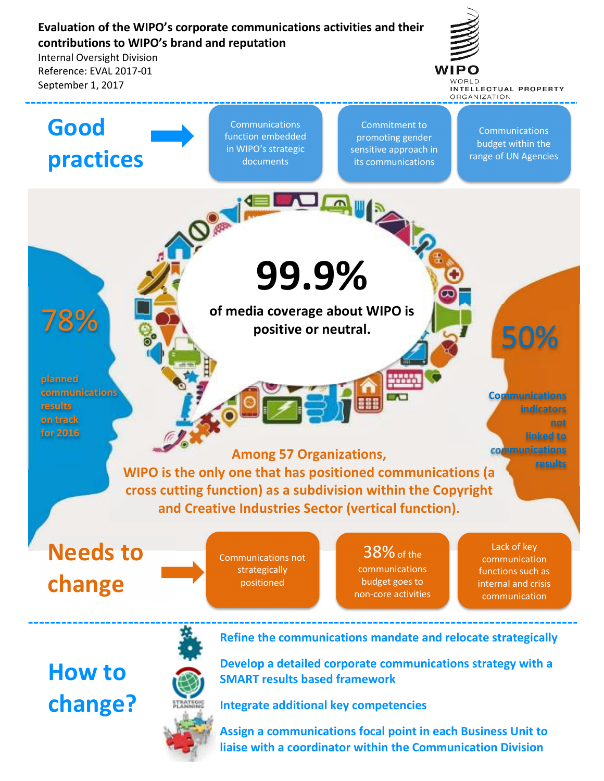# **Evaluation of the WIPO's corporate communications activities and their contributions to WIPO's brand and reputation**

Internal Oversight Division Reference: EVAL 2017-01 September 1, 2017



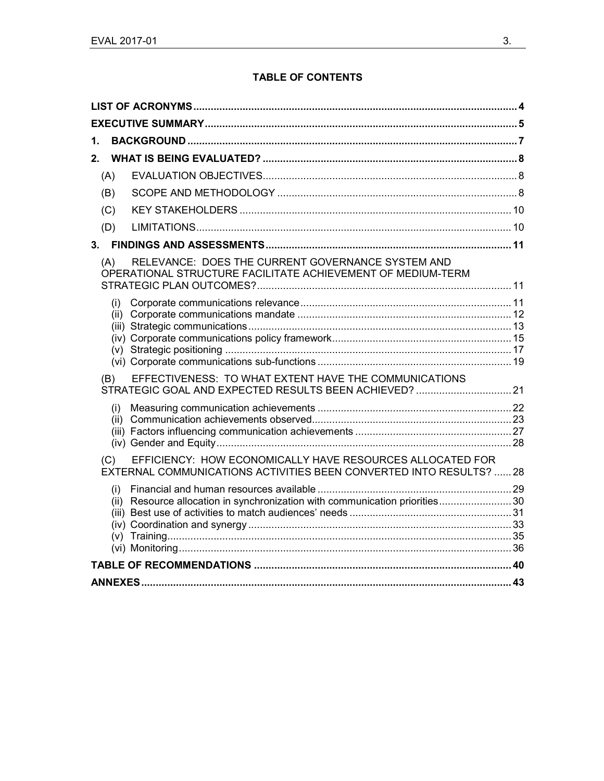## **TABLE OF CONTENTS**

| 1.  |                                                                                                                                        |  |  |
|-----|----------------------------------------------------------------------------------------------------------------------------------------|--|--|
| 2.  |                                                                                                                                        |  |  |
| (A) |                                                                                                                                        |  |  |
| (B) |                                                                                                                                        |  |  |
| (C) |                                                                                                                                        |  |  |
| (D) |                                                                                                                                        |  |  |
|     |                                                                                                                                        |  |  |
| (A) | RELEVANCE: DOES THE CURRENT GOVERNANCE SYSTEM AND<br>OPERATIONAL STRUCTURE FACILITATE ACHIEVEMENT OF MEDIUM-TERM                       |  |  |
| (i) |                                                                                                                                        |  |  |
| (B) | EFFECTIVENESS: TO WHAT EXTENT HAVE THE COMMUNICATIONS                                                                                  |  |  |
| (i) |                                                                                                                                        |  |  |
| (C) | EFFICIENCY: HOW ECONOMICALLY HAVE RESOURCES ALLOCATED FOR<br><b>EXTERNAL COMMUNICATIONS ACTIVITIES BEEN CONVERTED INTO RESULTS? 28</b> |  |  |
| (i) | (ii) Resource allocation in synchronization with communication priorities30                                                            |  |  |
|     |                                                                                                                                        |  |  |
|     |                                                                                                                                        |  |  |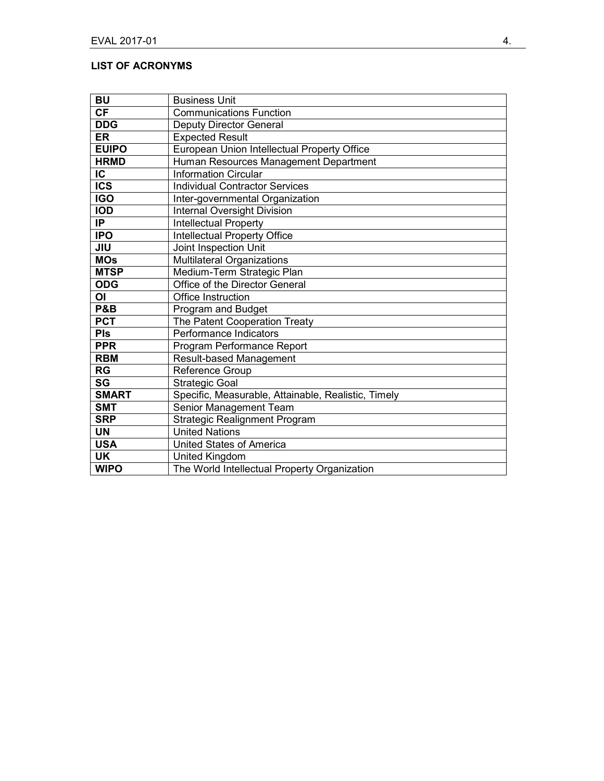## **LIST OF ACRONYMS**

| <b>BU</b>              | <b>Business Unit</b>                                |
|------------------------|-----------------------------------------------------|
| <b>CF</b>              | <b>Communications Function</b>                      |
| <b>DDG</b>             | <b>Deputy Director General</b>                      |
| <b>ER</b>              | <b>Expected Result</b>                              |
| <b>EUIPO</b>           | European Union Intellectual Property Office         |
| <b>HRMD</b>            | Human Resources Management Department               |
| IC                     | <b>Information Circular</b>                         |
| <b>ICS</b>             | <b>Individual Contractor Services</b>               |
| <b>IGO</b>             | Inter-governmental Organization                     |
| <b>IOD</b>             | <b>Internal Oversight Division</b>                  |
| IP.                    | Intellectual Property                               |
| <b>IPO</b>             | Intellectual Property Office                        |
| <b>JIU</b>             | Joint Inspection Unit                               |
| <b>MOs</b>             | Multilateral Organizations                          |
| <b>MTSP</b>            | Medium-Term Strategic Plan                          |
| <b>ODG</b>             | Office of the Director General                      |
| ΟI                     | Office Instruction                                  |
| P&B                    | Program and Budget                                  |
| <b>PCT</b>             | The Patent Cooperation Treaty                       |
| <b>PIs</b>             | Performance Indicators                              |
| <b>PPR</b>             | Program Performance Report                          |
| <b>RBM</b>             | Result-based Management                             |
| <b>RG</b>              | Reference Group                                     |
| $\overline{\text{SG}}$ | <b>Strategic Goal</b>                               |
| <b>SMART</b>           | Specific, Measurable, Attainable, Realistic, Timely |
| <b>SMT</b>             | Senior Management Team                              |
| <b>SRP</b>             | <b>Strategic Realignment Program</b>                |
| <b>UN</b>              | <b>United Nations</b>                               |
| <b>USA</b>             | <b>United States of America</b>                     |
| UK                     | <b>United Kingdom</b>                               |
| <b>WIPO</b>            | The World Intellectual Property Organization        |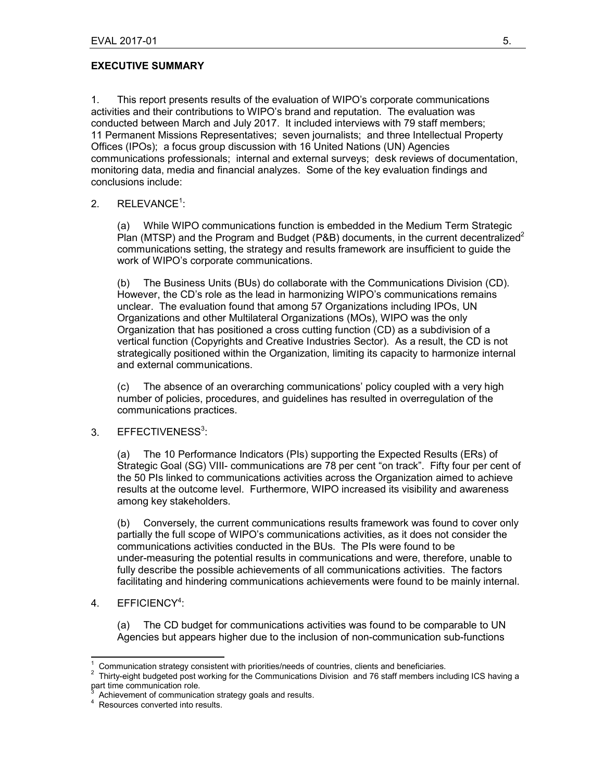#### **EXECUTIVE SUMMARY**

1. This report presents results of the evaluation of WIPO's corporate communications activities and their contributions to WIPO's brand and reputation. The evaluation was conducted between March and July 2017. It included interviews with 79 staff members; 11 Permanent Missions Representatives; seven journalists; and three Intellectual Property Offices (IPOs); a focus group discussion with 16 United Nations (UN) Agencies communications professionals; internal and external surveys; desk reviews of documentation, monitoring data, media and financial analyzes. Some of the key evaluation findings and conclusions include:

### 2.  $RELEVANCE<sup>1</sup>$ :

(a) While WIPO communications function is embedded in the Medium Term Strategic Plan (MTSP) and the Program and Budget (P&B) documents, in the current decentralized<sup>2</sup> communications setting, the strategy and results framework are insufficient to guide the work of WIPO's corporate communications.

(b) The Business Units (BUs) do collaborate with the Communications Division (CD). However, the CD's role as the lead in harmonizing WIPO's communications remains unclear. The evaluation found that among 57 Organizations including IPOs, UN Organizations and other Multilateral Organizations (MOs), WIPO was the only Organization that has positioned a cross cutting function (CD) as a subdivision of a vertical function (Copyrights and Creative Industries Sector). As a result, the CD is not strategically positioned within the Organization, limiting its capacity to harmonize internal and external communications.

(c) The absence of an overarching communications' policy coupled with a very high number of policies, procedures, and guidelines has resulted in overregulation of the communications practices.

#### 3. EFFECTIVENESS<sup>3</sup>:

(a) The 10 Performance Indicators (PIs) supporting the Expected Results (ERs) of Strategic Goal (SG) VIII- communications are 78 per cent "on track". Fifty four per cent of the 50 PIs linked to communications activities across the Organization aimed to achieve results at the outcome level. Furthermore, WIPO increased its visibility and awareness among key stakeholders.

(b) Conversely, the current communications results framework was found to cover only partially the full scope of WIPO's communications activities, as it does not consider the communications activities conducted in the BUs. The PIs were found to be under-measuring the potential results in communications and were, therefore, unable to fully describe the possible achievements of all communications activities. The factors facilitating and hindering communications achievements were found to be mainly internal.

#### 4. EFFICIENCY<sup>4</sup>:

(a) The CD budget for communications activities was found to be comparable to UN Agencies but appears higher due to the inclusion of non-communication sub-functions

 $\overline{a}$ 1 Communication strategy consistent with priorities/needs of countries, clients and beneficiaries.

 $2$  Thirty-eight budgeted post working for the Communications Division and 76 staff members including ICS having a part time communication role.<br>3. Achievement of communication

Achievement of communication strategy goals and results.

<sup>&</sup>lt;sup>4</sup> Resources converted into results.